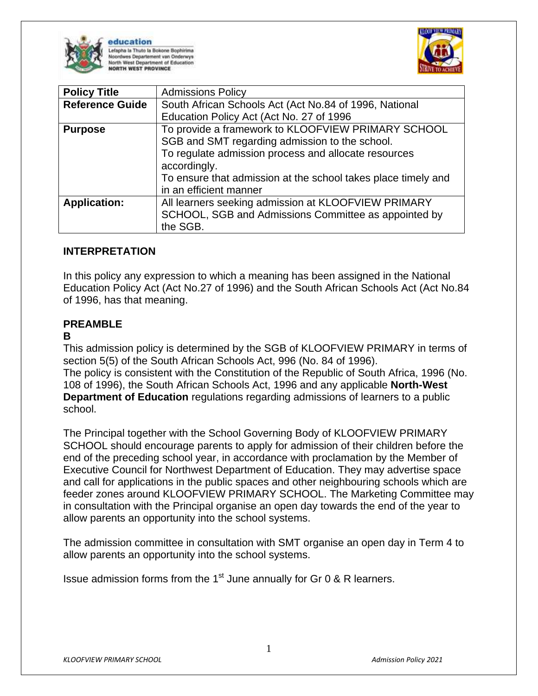

education efapha la Thuto la Bokone Bophirima oordwes Departement van Onderwys th West Department of Education ORTH WEST PROVINCE



| <b>Policy Title</b>    | <b>Admissions Policy</b>                                                                                                                                                                                                                                                |
|------------------------|-------------------------------------------------------------------------------------------------------------------------------------------------------------------------------------------------------------------------------------------------------------------------|
| <b>Reference Guide</b> | South African Schools Act (Act No.84 of 1996, National                                                                                                                                                                                                                  |
|                        | Education Policy Act (Act No. 27 of 1996                                                                                                                                                                                                                                |
| <b>Purpose</b>         | To provide a framework to KLOOFVIEW PRIMARY SCHOOL<br>SGB and SMT regarding admission to the school.<br>To regulate admission process and allocate resources<br>accordingly.<br>To ensure that admission at the school takes place timely and<br>in an efficient manner |
| <b>Application:</b>    | All learners seeking admission at KLOOFVIEW PRIMARY<br>SCHOOL, SGB and Admissions Committee as appointed by<br>the SGB.                                                                                                                                                 |

## **INTERPRETATION**

In this policy any expression to which a meaning has been assigned in the National Education Policy Act (Act No.27 of 1996) and the South African Schools Act (Act No.84 of 1996, has that meaning.

## **PREAMBLE**

#### **B**

This admission policy is determined by the SGB of KLOOFVIEW PRIMARY in terms of section 5(5) of the South African Schools Act, 996 (No. 84 of 1996). The policy is consistent with the Constitution of the Republic of South Africa, 1996 (No. 108 of 1996), the South African Schools Act, 1996 and any applicable **North-West Department of Education** regulations regarding admissions of learners to a public school.

The Principal together with the School Governing Body of KLOOFVIEW PRIMARY SCHOOL should encourage parents to apply for admission of their children before the end of the preceding school year, in accordance with proclamation by the Member of Executive Council for Northwest Department of Education. They may advertise space and call for applications in the public spaces and other neighbouring schools which are feeder zones around KLOOFVIEW PRIMARY SCHOOL. The Marketing Committee may in consultation with the Principal organise an open day towards the end of the year to allow parents an opportunity into the school systems.

The admission committee in consultation with SMT organise an open day in Term 4 to allow parents an opportunity into the school systems.

Issue admission forms from the 1<sup>st</sup> June annually for Gr 0 & R learners.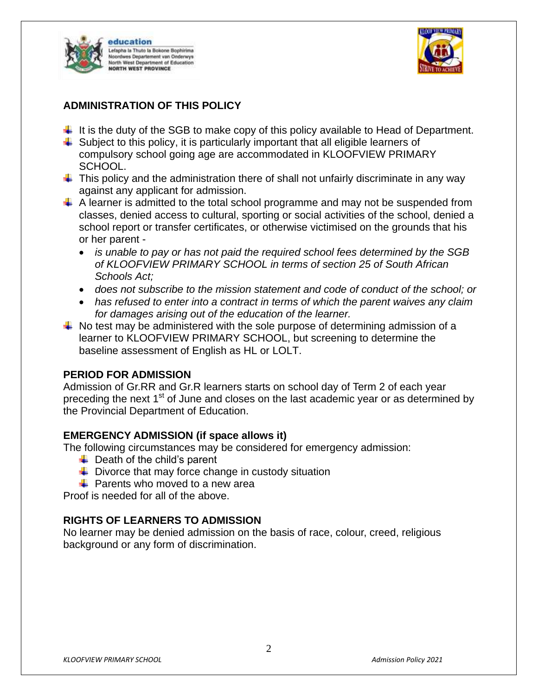



## **ADMINISTRATION OF THIS POLICY**

- $\ddot{\phantom{1}}$  It is the duty of the SGB to make copy of this policy available to Head of Department.
- $\ddot{\phantom{1}}$  Subject to this policy, it is particularly important that all eligible learners of compulsory school going age are accommodated in KLOOFVIEW PRIMARY SCHOOL.
- $\ddot{\phantom{1}}$  This policy and the administration there of shall not unfairly discriminate in any way against any applicant for admission.
- $\downarrow$  A learner is admitted to the total school programme and may not be suspended from classes, denied access to cultural, sporting or social activities of the school, denied a school report or transfer certificates, or otherwise victimised on the grounds that his or her parent
	- *is unable to pay or has not paid the required school fees determined by the SGB of KLOOFVIEW PRIMARY SCHOOL in terms of section 25 of South African Schools Act;*
	- *does not subscribe to the mission statement and code of conduct of the school; or*
	- *has refused to enter into a contract in terms of which the parent waives any claim for damages arising out of the education of the learner.*
- $\ddot{\bullet}$  No test may be administered with the sole purpose of determining admission of a learner to KLOOFVIEW PRIMARY SCHOOL, but screening to determine the baseline assessment of English as HL or LOLT.

### **PERIOD FOR ADMISSION**

Admission of Gr.RR and Gr.R learners starts on school day of Term 2 of each year preceding the next 1<sup>st</sup> of June and closes on the last academic year or as determined by the Provincial Department of Education.

### **EMERGENCY ADMISSION (if space allows it)**

The following circumstances may be considered for emergency admission:

- $\downarrow$  Death of the child's parent
- $\downarrow$  Divorce that may force change in custody situation
- $\div$  Parents who moved to a new area

Proof is needed for all of the above.

### **RIGHTS OF LEARNERS TO ADMISSION**

No learner may be denied admission on the basis of race, colour, creed, religious background or any form of discrimination.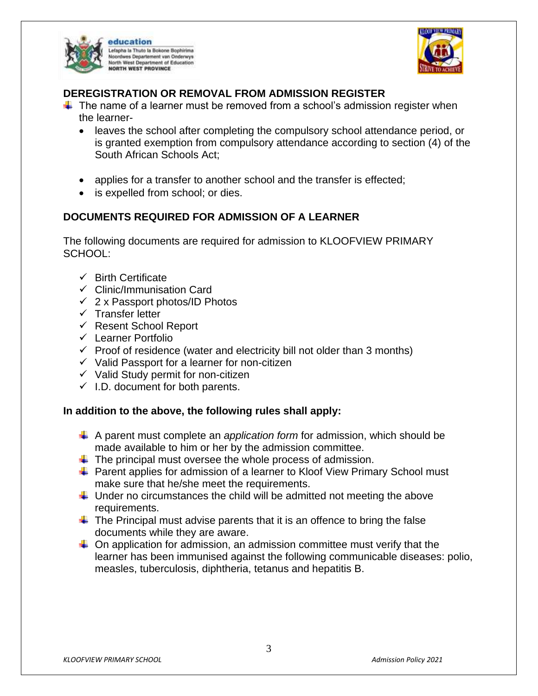



## **DEREGISTRATION OR REMOVAL FROM ADMISSION REGISTER**

- $\ddot{\phantom{1}}$  The name of a learner must be removed from a school's admission register when the learner
	- leaves the school after completing the compulsory school attendance period, or is granted exemption from compulsory attendance according to section (4) of the South African Schools Act;
	- applies for a transfer to another school and the transfer is effected;
	- is expelled from school; or dies.

# **DOCUMENTS REQUIRED FOR ADMISSION OF A LEARNER**

The following documents are required for admission to KLOOFVIEW PRIMARY SCHOOL:

- $\checkmark$  Birth Certificate
- $\checkmark$  Clinic/Immunisation Card
- $\checkmark$  2 x Passport photos/ID Photos
- $\checkmark$  Transfer letter
- $\checkmark$  Resent School Report
- $\checkmark$  Learner Portfolio
- $\checkmark$  Proof of residence (water and electricity bill not older than 3 months)
- $\checkmark$  Valid Passport for a learner for non-citizen
- $\checkmark$  Valid Study permit for non-citizen
- $\checkmark$  I.D. document for both parents.

### **In addition to the above, the following rules shall apply:**

- A parent must complete an *application form* for admission, which should be made available to him or her by the admission committee.
- $\ddot$  The principal must oversee the whole process of admission.
- **F** Parent applies for admission of a learner to Kloof View Primary School must make sure that he/she meet the requirements.
- $\ddot{\phantom{1}}$  Under no circumstances the child will be admitted not meeting the above requirements.
- $\ddot{\phantom{1}}$  The Principal must advise parents that it is an offence to bring the false documents while they are aware.
- $\downarrow$  On application for admission, an admission committee must verify that the learner has been immunised against the following communicable diseases: polio, measles, tuberculosis, diphtheria, tetanus and hepatitis B.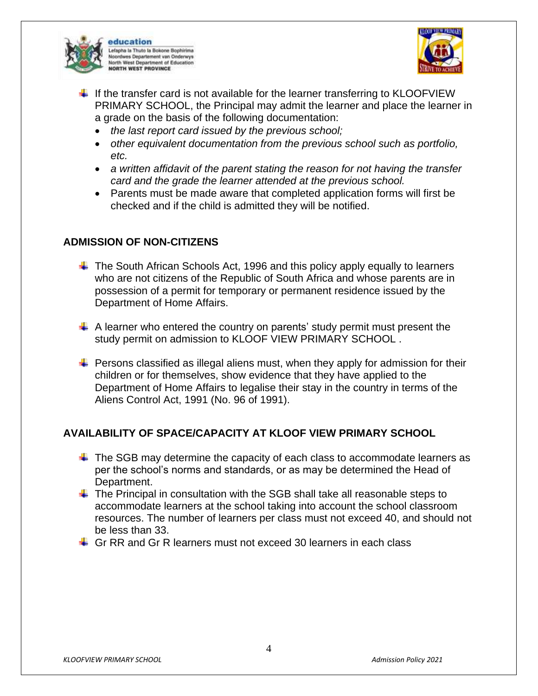



- $\ddotplus$  If the transfer card is not available for the learner transferring to KLOOFVIEW PRIMARY SCHOOL, the Principal may admit the learner and place the learner in a grade on the basis of the following documentation:
	- *the last report card issued by the previous school;*
	- *other equivalent documentation from the previous school such as portfolio, etc.*
	- *a written affidavit of the parent stating the reason for not having the transfer card and the grade the learner attended at the previous school.*
	- Parents must be made aware that completed application forms will first be checked and if the child is admitted they will be notified.

## **ADMISSION OF NON-CITIZENS**

- $\ddot{\phantom{1}}$  The South African Schools Act, 1996 and this policy apply equally to learners who are not citizens of the Republic of South Africa and whose parents are in possession of a permit for temporary or permanent residence issued by the Department of Home Affairs.
- $\uparrow$  A learner who entered the country on parents' study permit must present the study permit on admission to KLOOF VIEW PRIMARY SCHOOL .
- $\ddot{\phantom{1}}$  Persons classified as illegal aliens must, when they apply for admission for their children or for themselves, show evidence that they have applied to the Department of Home Affairs to legalise their stay in the country in terms of the Aliens Control Act, 1991 (No. 96 of 1991).

## **AVAILABILITY OF SPACE/CAPACITY AT KLOOF VIEW PRIMARY SCHOOL**

- $\ddot$  The SGB may determine the capacity of each class to accommodate learners as per the school's norms and standards, or as may be determined the Head of Department.
- $\ddot{\phantom{1}}$  The Principal in consultation with the SGB shall take all reasonable steps to accommodate learners at the school taking into account the school classroom resources. The number of learners per class must not exceed 40, and should not be less than 33.
- $\overline{\phantom{a} }$  Gr RR and Gr R learners must not exceed 30 learners in each class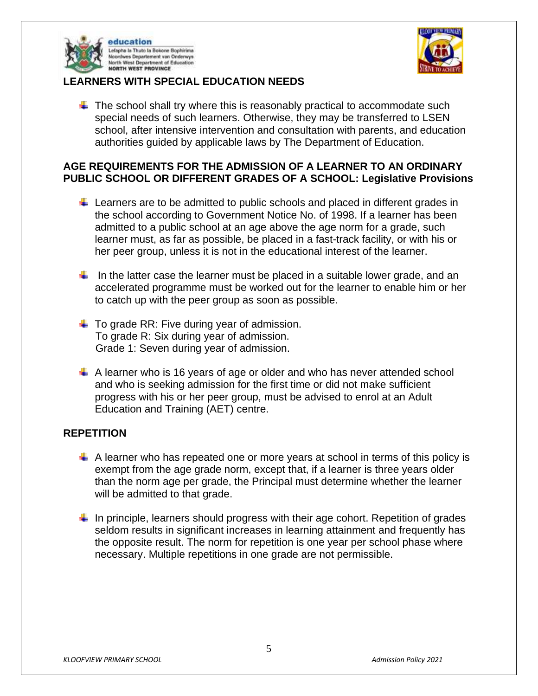



## **LEARNERS WITH SPECIAL EDUCATION NEEDS**

 $\ddot{\bullet}$  The school shall try where this is reasonably practical to accommodate such special needs of such learners. Otherwise, they may be transferred to LSEN school, after intensive intervention and consultation with parents, and education authorities guided by applicable laws by The Department of Education.

## **AGE REQUIREMENTS FOR THE ADMISSION OF A LEARNER TO AN ORDINARY PUBLIC SCHOOL OR DIFFERENT GRADES OF A SCHOOL: Legislative Provisions**

- $\ddot{\phantom{1}}$  Learners are to be admitted to public schools and placed in different grades in the school according to Government Notice No. of 1998. If a learner has been admitted to a public school at an age above the age norm for a grade, such learner must, as far as possible, be placed in a fast-track facility, or with his or her peer group, unless it is not in the educational interest of the learner.
- In the latter case the learner must be placed in a suitable lower grade, and an accelerated programme must be worked out for the learner to enable him or her to catch up with the peer group as soon as possible.
- $\downarrow$  To grade RR: Five during year of admission. To grade R: Six during year of admission. Grade 1: Seven during year of admission.
- $\ddot$  A learner who is 16 years of age or older and who has never attended school and who is seeking admission for the first time or did not make sufficient progress with his or her peer group, must be advised to enrol at an Adult Education and Training (AET) centre.

### **REPETITION**

- $\uparrow$  A learner who has repeated one or more years at school in terms of this policy is exempt from the age grade norm, except that, if a learner is three years older than the norm age per grade, the Principal must determine whether the learner will be admitted to that grade.
- $\downarrow$  In principle, learners should progress with their age cohort. Repetition of grades seldom results in significant increases in learning attainment and frequently has the opposite result. The norm for repetition is one year per school phase where necessary. Multiple repetitions in one grade are not permissible.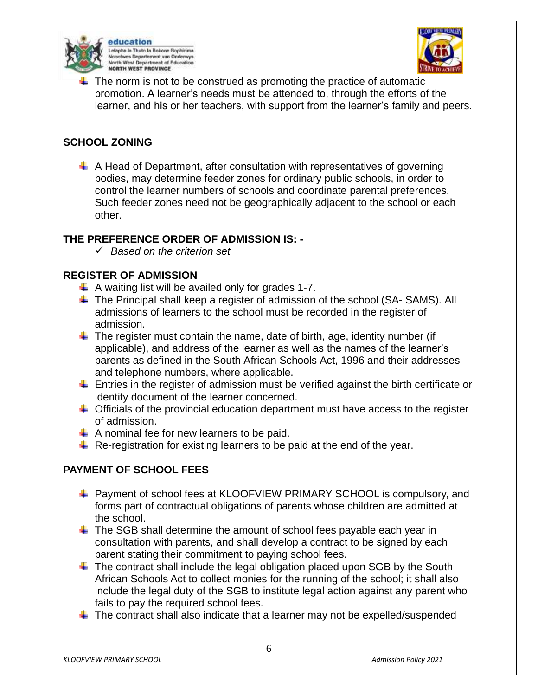

education Lefapha la Thuto la Bokone Bophirima Noordwes Departement van Onderwys erth West Department of Education **NORTH WEST PROVINCE** 



The norm is not to be construed as promoting the practice of automatic promotion. A learner's needs must be attended to, through the efforts of the learner, and his or her teachers, with support from the learner's family and peers.

## **SCHOOL ZONING**

 $\perp$  A Head of Department, after consultation with representatives of governing bodies, may determine feeder zones for ordinary public schools, in order to control the learner numbers of schools and coordinate parental preferences. Such feeder zones need not be geographically adjacent to the school or each other.

### **THE PREFERENCE ORDER OF ADMISSION IS: -**

*Based on the criterion set*

### **REGISTER OF ADMISSION**

- $\downarrow$  A waiting list will be availed only for grades 1-7.
- $\ddotplus$  The Principal shall keep a register of admission of the school (SA- SAMS). All admissions of learners to the school must be recorded in the register of admission.
- $\ddot{\phantom{1}}$  The register must contain the name, date of birth, age, identity number (if applicable), and address of the learner as well as the names of the learner's parents as defined in the South African Schools Act, 1996 and their addresses and telephone numbers, where applicable.
- $\ddot{\phantom{1}}$  Entries in the register of admission must be verified against the birth certificate or identity document of the learner concerned.
- $\ddot{\phantom{1}}$  Officials of the provincial education department must have access to the register of admission.
- $\downarrow$  A nominal fee for new learners to be paid.
- $\ddot{+}$  Re-registration for existing learners to be paid at the end of the year.

## **PAYMENT OF SCHOOL FEES**

- ↓ Payment of school fees at KLOOFVIEW PRIMARY SCHOOL is compulsory, and forms part of contractual obligations of parents whose children are admitted at the school.
- $\ddot$  The SGB shall determine the amount of school fees payable each year in consultation with parents, and shall develop a contract to be signed by each parent stating their commitment to paying school fees.
- $\ddot$  The contract shall include the legal obligation placed upon SGB by the South African Schools Act to collect monies for the running of the school; it shall also include the legal duty of the SGB to institute legal action against any parent who fails to pay the required school fees.
- $\ddot{\phantom{1}}$  The contract shall also indicate that a learner may not be expelled/suspended